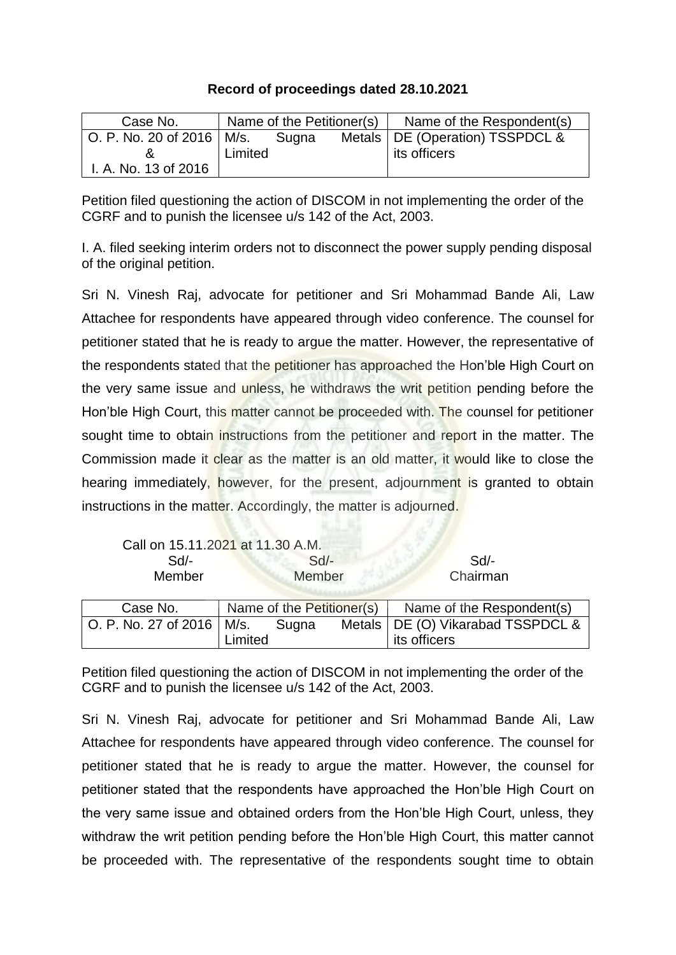## **Record of proceedings dated 28.10.2021**

| Case No.                    | Name of the Petitioner(s) |       | Name of the Respondent(s)         |
|-----------------------------|---------------------------|-------|-----------------------------------|
| O. P. No. 20 of 2016   M/s. |                           | Sugna | Metals   DE (Operation) TSSPDCL & |
|                             | Limited                   |       | its officers                      |
| I. A. No. 13 of 2016        |                           |       |                                   |

Petition filed questioning the action of DISCOM in not implementing the order of the CGRF and to punish the licensee u/s 142 of the Act, 2003.

I. A. filed seeking interim orders not to disconnect the power supply pending disposal of the original petition.

Sri N. Vinesh Raj, advocate for petitioner and Sri Mohammad Bande Ali, Law Attachee for respondents have appeared through video conference. The counsel for petitioner stated that he is ready to argue the matter. However, the representative of the respondents stated that the petitioner has approached the Hon'ble High Court on the very same issue and unless, he withdraws the writ petition pending before the Hon'ble High Court, this matter cannot be proceeded with. The counsel for petitioner sought time to obtain instructions from the petitioner and report in the matter. The Commission made it clear as the matter is an old matter, it would like to close the hearing immediately, however, for the present, adjournment is granted to obtain instructions in the matter. Accordingly, the matter is adjourned.

|                             | Call on 15.11.2021 at 11.30 A.M. |       |                           |                                     |
|-----------------------------|----------------------------------|-------|---------------------------|-------------------------------------|
| $Sd$ -                      | $Sd$ -                           |       |                           | Sd                                  |
| <b>Member</b>               | Member                           |       |                           | Chairman                            |
|                             |                                  |       |                           |                                     |
| Case No.                    |                                  |       | Name of the Petitioner(s) | Name of the Respondent(s)           |
| O. P. No. 27 of 2016   M/s. |                                  | Sugna |                           | Metals   DE (O) Vikarabad TSSPDCL & |
|                             | _imited                          |       |                           | its officers                        |

Petition filed questioning the action of DISCOM in not implementing the order of the CGRF and to punish the licensee u/s 142 of the Act, 2003.

Sri N. Vinesh Raj, advocate for petitioner and Sri Mohammad Bande Ali, Law Attachee for respondents have appeared through video conference. The counsel for petitioner stated that he is ready to argue the matter. However, the counsel for petitioner stated that the respondents have approached the Hon'ble High Court on the very same issue and obtained orders from the Hon'ble High Court, unless, they withdraw the writ petition pending before the Hon'ble High Court, this matter cannot be proceeded with. The representative of the respondents sought time to obtain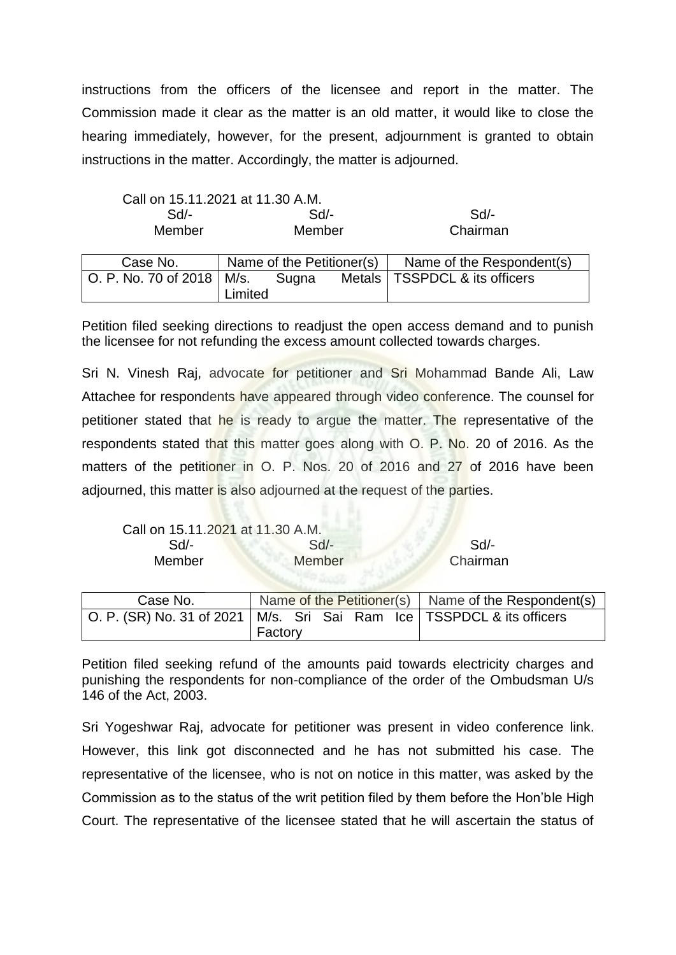instructions from the officers of the licensee and report in the matter. The Commission made it clear as the matter is an old matter, it would like to close the hearing immediately, however, for the present, adjournment is granted to obtain instructions in the matter. Accordingly, the matter is adjourned.

| Call on 15.11.2021 at 11.30 A.M. |         |          |
|----------------------------------|---------|----------|
| Sd/-                             | $Sd/$ - | Sd       |
| Member                           | Member  | Chairman |

| Case No.                    | Name of the Petitioner(s) |  |  | Name of the Respondent(s)       |
|-----------------------------|---------------------------|--|--|---------------------------------|
| O. P. No. 70 of 2018   M/s. | Sugna<br>Limited          |  |  | Metals   TSSPDCL & its officers |

Petition filed seeking directions to readjust the open access demand and to punish the licensee for not refunding the excess amount collected towards charges.

Sri N. Vinesh Raj, advocate for petitioner and Sri Mohammad Bande Ali, Law Attachee for respondents have appeared through video conference. The counsel for petitioner stated that he is ready to argue the matter. The representative of the respondents stated that this matter goes along with O. P. No. 20 of 2016. As the matters of the petitioner in O. P. Nos. 20 of 2016 and 27 of 2016 have been adiourned, this matter is also adiourned at the request of the parties.

| Call on 15.11.2021 at 11.30 A.M. |          |
|----------------------------------|----------|
| $Sd$ -                           | Sd       |
| Member                           | Chairman |
|                                  |          |

| Case No.                                                                  |         |  | Name of the Petitioner(s) $\vert$ Name of the Respondent(s) |  |  |
|---------------------------------------------------------------------------|---------|--|-------------------------------------------------------------|--|--|
| O. P. (SR) No. 31 of 2021   M/s. Sri Sai Ram Ice   TSSPDCL & its officers | Factory |  |                                                             |  |  |

Petition filed seeking refund of the amounts paid towards electricity charges and punishing the respondents for non-compliance of the order of the Ombudsman U/s 146 of the Act, 2003.

Sri Yogeshwar Raj, advocate for petitioner was present in video conference link. However, this link got disconnected and he has not submitted his case. The representative of the licensee, who is not on notice in this matter, was asked by the Commission as to the status of the writ petition filed by them before the Hon'ble High Court. The representative of the licensee stated that he will ascertain the status of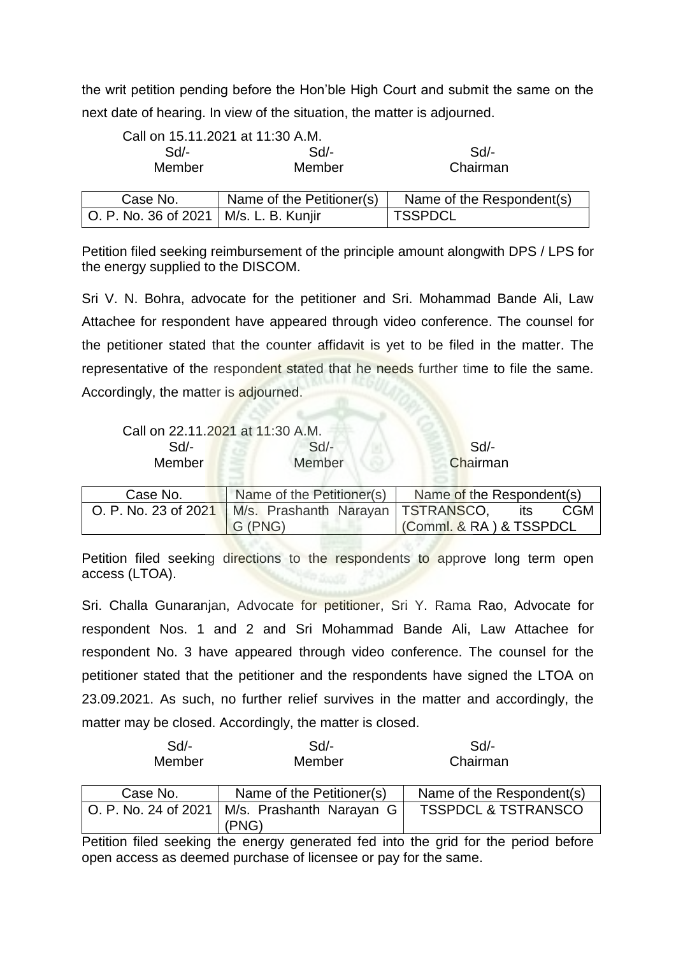the writ petition pending before the Hon'ble High Court and submit the same on the next date of hearing. In view of the situation, the matter is adjourned.

| Call on 15.11.2021 at 11:30 A.M. |        |          |  |
|----------------------------------|--------|----------|--|
| Sd                               | $Sd$ - | Sd/-     |  |
| Member                           | Member | Chairman |  |
|                                  |        |          |  |

| Case No.                                 | Name of the Petitioner(s) | Name of the Respondent(s) |
|------------------------------------------|---------------------------|---------------------------|
| O. P. No. 36 of 2021   M/s. L. B. Kunjir |                           | <b>I TSSPDCL</b>          |

Petition filed seeking reimbursement of the principle amount alongwith DPS / LPS for the energy supplied to the DISCOM.

Sri V. N. Bohra, advocate for the petitioner and Sri. Mohammad Bande Ali, Law Attachee for respondent have appeared through video conference. The counsel for the petitioner stated that the counter affidavit is yet to be filed in the matter. The representative of the respondent stated that he needs further time to file the same. Accordingly, the matter is adjourned.

| Call on 22.11.2021 at 11:30 A.M. |        |          |
|----------------------------------|--------|----------|
| Sd/-                             | Sd/-   | Sd/-     |
| Member                           | Member | Chairman |

| Case No. | Name of the Petitioner(s)                                  | Name of the Respondent(s) |
|----------|------------------------------------------------------------|---------------------------|
|          | O. P. No. 23 of 2021   M/s. Prashanth Narayan   TSTRANSCO, | <b>CGM</b><br>its         |
|          | G (PNG)                                                    | Comml. & RA ) & TSSPDCL   |

Petition filed seeking directions to the respondents to approve long term open access (LTOA).

Sri. Challa Gunaranjan, Advocate for petitioner, Sri Y. Rama Rao, Advocate for respondent Nos. 1 and 2 and Sri Mohammad Bande Ali, Law Attachee for respondent No. 3 have appeared through video conference. The counsel for the petitioner stated that the petitioner and the respondents have signed the LTOA on 23.09.2021. As such, no further relief survives in the matter and accordingly, the matter may be closed. Accordingly, the matter is closed.

| $Sd$ -        | $Sd$ - | Sd/-     |
|---------------|--------|----------|
| <b>Member</b> | Member | Chairman |

| Case No. | Name of the Petitioner(s)                                | Name of the Respondent(s)      |
|----------|----------------------------------------------------------|--------------------------------|
|          | O. P. No. 24 of 2021   M/s. Prashanth Narayan G<br>(PNG) | <b>TSSPDCL &amp; TSTRANSCO</b> |

Petition filed seeking the energy generated fed into the grid for the period before open access as deemed purchase of licensee or pay for the same.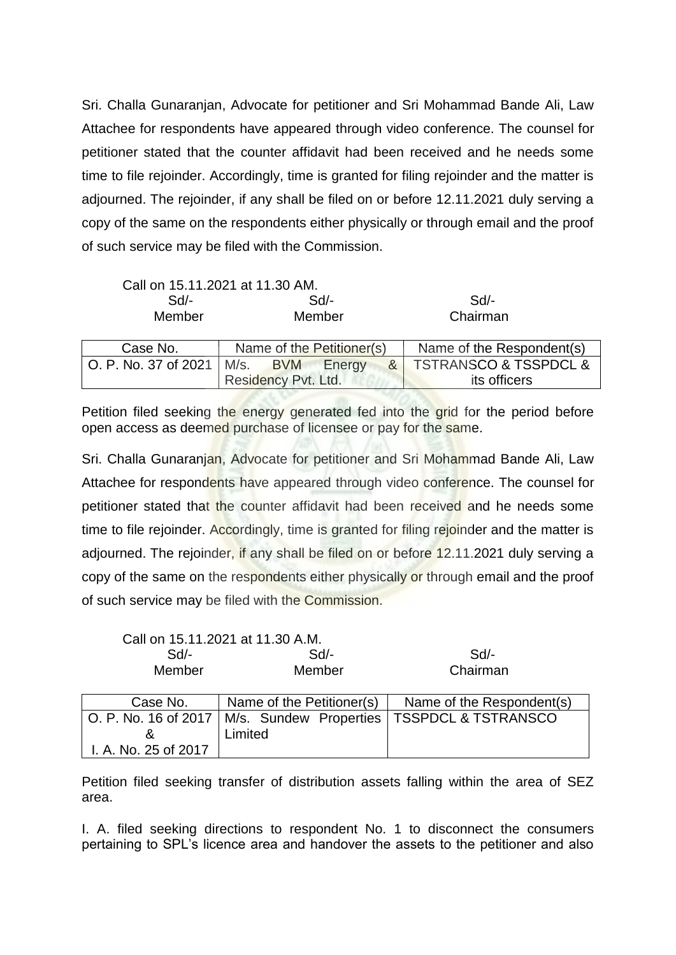Sri. Challa Gunaranjan, Advocate for petitioner and Sri Mohammad Bande Ali, Law Attachee for respondents have appeared through video conference. The counsel for petitioner stated that the counter affidavit had been received and he needs some time to file rejoinder. Accordingly, time is granted for filing rejoinder and the matter is adjourned. The rejoinder, if any shall be filed on or before 12.11.2021 duly serving a copy of the same on the respondents either physically or through email and the proof of such service may be filed with the Commission.

| Call on 15.11.2021 at 11.30 AM. |                                   |                                      |  |  |
|---------------------------------|-----------------------------------|--------------------------------------|--|--|
| $Sd$ -                          | $Sd$ -                            | Sd                                   |  |  |
| Member                          | Member                            | Chairman                             |  |  |
|                                 |                                   |                                      |  |  |
| Case No.                        | Name of the Petitioner(s)         | Name of the Respondent(s)            |  |  |
| O. P. No. 37 of 2021            | M/s. BVM Energy<br>8 <sup>1</sup> | <b>TSTRANSCO &amp; TSSPDCL &amp;</b> |  |  |
|                                 | Residency Pvt. Ltd.               | its officers                         |  |  |

Petition filed seeking the energy generated fed into the grid for the period before open access as deemed purchase of licensee or pay for the same.

Sri. Challa Gunaranjan, Advocate for petitioner and Sri Mohammad Bande Ali, Law Attachee for respondents have appeared through video conference. The counsel for petitioner stated that the counter affidavit had been received and he needs some time to file rejoinder. Accordingly, time is granted for filing rejoinder and the matter is adjourned. The rejoinder, if any shall be filed on or before 12.11.2021 duly serving a copy of the same on the respondents either physically or through email and the proof of such service may be filed with the Commission.

Call on 15.11.2021 at 11.30 A.M.

| $Sd$ -               | Sd                        | Sd                                                                  |  |
|----------------------|---------------------------|---------------------------------------------------------------------|--|
| Member               | Member                    | Chairman                                                            |  |
|                      |                           |                                                                     |  |
| Case No.             | Name of the Petitioner(s) | Name of the Respondent(s)                                           |  |
|                      |                           | O. P. No. 16 of 2017   M/s. Sundew Properties   TSSPDCL & TSTRANSCO |  |
| &                    | Limited                   |                                                                     |  |
| I. A. No. 25 of 2017 |                           |                                                                     |  |

Petition filed seeking transfer of distribution assets falling within the area of SEZ area.

I. A. filed seeking directions to respondent No. 1 to disconnect the consumers pertaining to SPL's licence area and handover the assets to the petitioner and also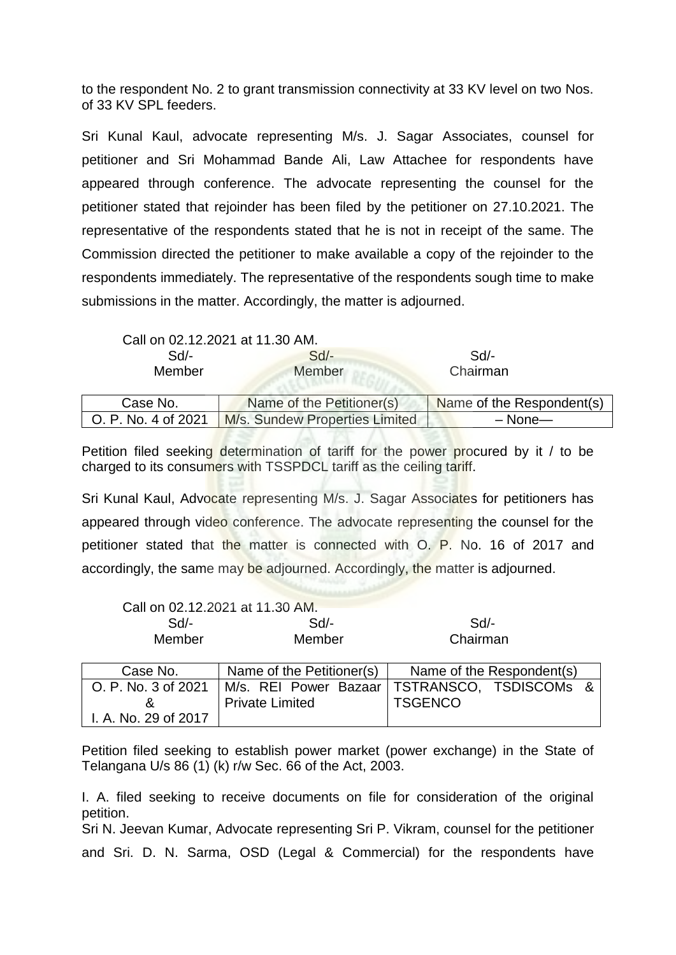to the respondent No. 2 to grant transmission connectivity at 33 KV level on two Nos. of 33 KV SPL feeders.

Sri Kunal Kaul, advocate representing M/s. J. Sagar Associates, counsel for petitioner and Sri Mohammad Bande Ali, Law Attachee for respondents have appeared through conference. The advocate representing the counsel for the petitioner stated that rejoinder has been filed by the petitioner on 27.10.2021. The representative of the respondents stated that he is not in receipt of the same. The Commission directed the petitioner to make available a copy of the rejoinder to the respondents immediately. The representative of the respondents sough time to make submissions in the matter. Accordingly, the matter is adjourned.

Call on 02.12.2021 at 11.30 AM.

I. A. No. 29 of 2017

| $Sd$ -<br>$Sd$ -<br>Member<br>Member |                                | $Sd$ -<br>Chairman        |  |
|--------------------------------------|--------------------------------|---------------------------|--|
| Case No.                             | Name of the Petitioner(s)      | Name of the Respondent(s) |  |
| O. P. No. 4 of 2021                  | M/s. Sundew Properties Limited | $-$ None $-$              |  |

Petition filed seeking determination of tariff for the power procured by it / to be charged to its consumers with TSSPDCL tariff as the ceiling tariff.

Sri Kunal Kaul, Advocate representing M/s. J. Sagar Associates for petitioners has appeared through video conference. The advocate representing the counsel for the petitioner stated that the matter is connected with O. P. No. 16 of 2017 and accordingly, the same may be adjourned. Accordingly, the matter is adjourned.

|                     | Call on 02.12.2021 at 11.30 AM. |                                                |
|---------------------|---------------------------------|------------------------------------------------|
| $Sd$ -              | $Sd$ -                          | Sd                                             |
| Member              | Member                          | Chairman                                       |
|                     |                                 |                                                |
| Case No.            | Name of the Petitioner(s)       | Name of the Respondent(s)                      |
| O. P. No. 3 of 2021 |                                 | M/s. REI Power Bazaar   TSTRANSCO, TSDISCOMs & |
| &                   | <b>Private Limited</b>          | <b>TSGENCO</b>                                 |

Petition filed seeking to establish power market (power exchange) in the State of Telangana U/s 86 (1) (k) r/w Sec. 66 of the Act, 2003.

I. A. filed seeking to receive documents on file for consideration of the original petition. Sri N. Jeevan Kumar, Advocate representing Sri P. Vikram, counsel for the petitioner and Sri. D. N. Sarma, OSD (Legal & Commercial) for the respondents have